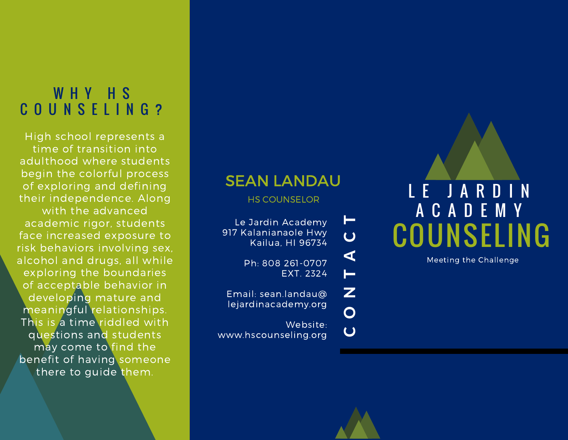## WHY HS C O U N S E L I N G ?

High school represents a time of transition into adulthood where students begin the colorful process of exploring and defining their independence. Along with the advanced academic rigor, students face increased exposure to risk behaviors involving sex, alcohol and drugs, all while exploring the boundaries of acceptable behavior in developing mature and meaningful relationships. This is a time riddled with questions and students may come to find the benefit of having someone there to guide them.

### SEAN LANDAU

HS COUNSELOR

Le Jardin Academy 917 Kalanianaole Hwy Kailua, HI 96734

> Ph: 808 261-0707 EXT. 2324

Email: sean.landau@ lejardinacademy.org

Website: www.hscounseling.org

 $\overline{C}$ 

O

 $\mathbf{Z}$ 

 $\blacksquare$ 

 $\blacktriangleleft$ 

 $\overline{C}$ 

 $\blacksquare$ 



Meeting the Challenge